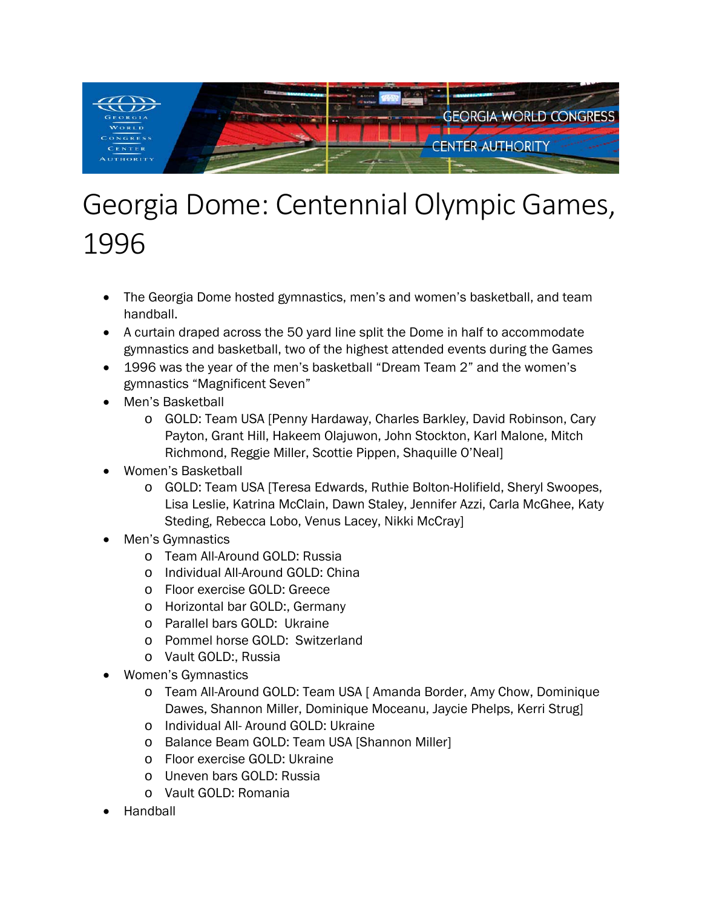

## Georgia Dome: Centennial Olympic Games, 1996

- The Georgia Dome hosted gymnastics, men's and women's basketball, and team handball.
- A curtain draped across the 50 yard line split the Dome in half to accommodate gymnastics and basketball, two of the highest attended events during the Games
- 1996 was the year of the men's basketball "Dream Team 2" and the women's gymnastics "Magnificent Seven"
- Men's Basketball
	- o GOLD: Team USA [Penny Hardaway, Charles Barkley, David Robinson, Cary Payton, Grant Hill, Hakeem Olajuwon, John Stockton, Karl Malone, Mitch Richmond, Reggie Miller, Scottie Pippen, Shaquille O'Neal]
- Women's Basketball
	- o GOLD: Team USA [Teresa Edwards, Ruthie Bolton-Holifield, Sheryl Swoopes, Lisa Leslie, Katrina McClain, Dawn Staley, Jennifer Azzi, Carla McGhee, Katy Steding, Rebecca Lobo, Venus Lacey, Nikki McCray]
- Men's Gymnastics
	- o Team All-Around GOLD: Russia
	- o Individual All-Around GOLD: China
	- o Floor exercise GOLD: Greece
	- o Horizontal bar GOLD:, Germany
	- o Parallel bars GOLD: Ukraine
	- o Pommel horse GOLD: Switzerland
	- o Vault GOLD:, Russia
- Women's Gymnastics
	- o Team All-Around GOLD: Team USA [ Amanda Border, Amy Chow, Dominique Dawes, Shannon Miller, Dominique Moceanu, Jaycie Phelps, Kerri Strug]
	- o Individual All- Around GOLD: Ukraine
	- o Balance Beam GOLD: Team USA [Shannon Miller]
	- o Floor exercise GOLD: Ukraine
	- o Uneven bars GOLD: Russia
	- o Vault GOLD: Romania
- Handball